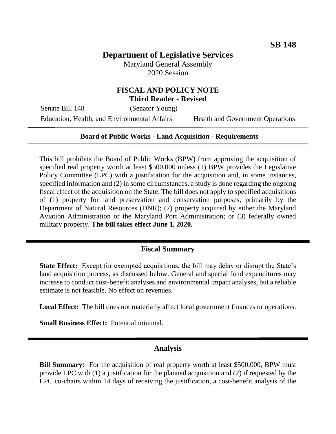# **Department of Legislative Services**

Maryland General Assembly 2020 Session

## **FISCAL AND POLICY NOTE Third Reader - Revised**

Senate Bill 148 (Senator Young)

Education, Health, and Environmental Affairs Health and Government Operations

#### **Board of Public Works - Land Acquisition - Requirements**

This bill prohibits the Board of Public Works (BPW) from approving the acquisition of specified real property worth at least \$500,000 unless (1) BPW provides the Legislative Policy Committee (LPC) with a justification for the acquisition and, in some instances, specified information and (2) in some circumstances, a study is done regarding the ongoing fiscal effect of the acquisition on the State. The bill does not apply to specified acquisitions of (1) property for land preservation and conservation purposes, primarily by the Department of Natural Resources (DNR); (2) property acquired by either the Maryland Aviation Administration or the Maryland Port Administration; or (3) federally owned military property. **The bill takes effect June 1, 2020.**

## **Fiscal Summary**

**State Effect:** Except for exempted acquisitions, the bill may delay or disrupt the State's land acquisition process, as discussed below. General and special fund expenditures may increase to conduct cost-benefit analyses and environmental impact analyses, but a reliable estimate is not feasible. No effect on revenues.

**Local Effect:** The bill does not materially affect local government finances or operations.

**Small Business Effect:** Potential minimal.

#### **Analysis**

**Bill Summary:** For the acquisition of real property worth at least \$500,000, BPW must provide LPC with (1) a justification for the planned acquisition and (2) if requested by the LPC co-chairs within 14 days of receiving the justification, a cost-benefit analysis of the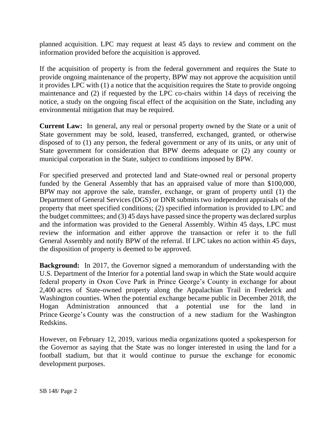planned acquisition. LPC may request at least 45 days to review and comment on the information provided before the acquisition is approved.

If the acquisition of property is from the federal government and requires the State to provide ongoing maintenance of the property, BPW may not approve the acquisition until it provides LPC with (1) a notice that the acquisition requires the State to provide ongoing maintenance and (2) if requested by the LPC co-chairs within 14 days of receiving the notice, a study on the ongoing fiscal effect of the acquisition on the State, including any environmental mitigation that may be required.

**Current Law:** In general, any real or personal property owned by the State or a unit of State government may be sold, leased, transferred, exchanged, granted, or otherwise disposed of to (1) any person, the federal government or any of its units, or any unit of State government for consideration that BPW deems adequate or (2) any county or municipal corporation in the State, subject to conditions imposed by BPW.

For specified preserved and protected land and State-owned real or personal property funded by the General Assembly that has an appraised value of more than \$100,000, BPW may not approve the sale, transfer, exchange, or grant of property until (1) the Department of General Services (DGS) or DNR submits two independent appraisals of the property that meet specified conditions; (2) specified information is provided to LPC and the budget committees; and (3) 45 days have passed since the property was declared surplus and the information was provided to the General Assembly. Within 45 days, LPC must review the information and either approve the transaction or refer it to the full General Assembly and notify BPW of the referral. If LPC takes no action within 45 days, the disposition of property is deemed to be approved.

**Background:** In 2017, the Governor signed a memorandum of understanding with the U.S. Department of the Interior for a potential land swap in which the State would acquire federal property in Oxon Cove Park in Prince George's County in exchange for about 2,400 acres of State-owned property along the Appalachian Trail in Frederick and Washington counties. When the potential exchange became public in December 2018, the Hogan Administration announced that a potential use for the land in Prince George's County was the construction of a new stadium for the Washington Redskins.

However, on February 12, 2019, various media organizations quoted a spokesperson for the Governor as saying that the State was no longer interested in using the land for a football stadium, but that it would continue to pursue the exchange for economic development purposes.